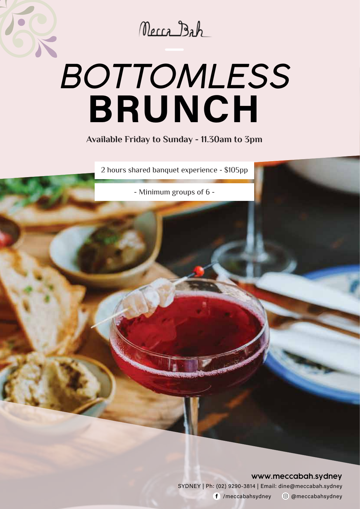Necca Bah

# **BRUNCH** *BOTTOMLESS*

 **Available Friday to Sunday - 11.30am to 3pm** 

2 hours shared banquet experience - \$105pp

- Minimum groups of 6 -

#### **www.meccabah.sydney**

SYDNEY | Ph: (02) 9290-3814 | Email: dine@meccabah.sydney /meccaba hsydney <sup>o</sup> @meccabahsydney